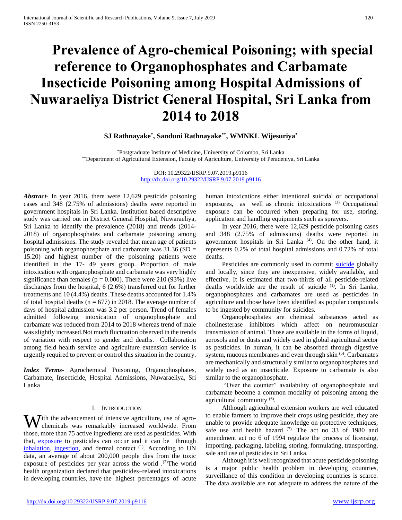# **Prevalence of Agro-chemical Poisoning; with special reference to Organophosphates and Carbamate Insecticide Poisoning among Hospital Admissions of Nuwaraeliya District General Hospital, Sri Lanka from 2014 to 2018**

## **SJ Rathnayake\* , Sanduni Rathnayake\*\*, WMNKL Wijesuriya\***

\*Postgraduate Institute of Medicine, University of Colombo, Sri Lanka \*\*Department of Agricultural Extension, Faculty of Agriculture, University of Peradeniya, Sri Lanka

> DOI: 10.29322/IJSRP.9.07.2019.p9116 <http://dx.doi.org/10.29322/IJSRP.9.07.2019.p9116>

*Abstract***-** In year 2016, there were 12,629 pesticide poisoning cases and 348 (2.75% of admissions) deaths were reported in government hospitals in Sri Lanka. Institution based descriptive study was carried out in District General Hospital, Nuwaraeliya, Sri Lanka to identify the prevalence (2018) and trends (2014- 2018) of organophosphates and carbamate poisoning among hospital admissions. The study revealed that mean age of patients poisoning with organophosphate and carbamate was  $31.36$  (SD = 15.20) and highest number of the poisoning patients were identified in the 17- 49 years group. Proportion of male intoxication with organophosphate and carbamate was very highly significance than females ( $p = 0.000$ ). There were 210 (93%) live discharges from the hospital, 6 (2.6%) transferred out for further treatments and 10 (4.4%) deaths. These deaths accounted for 1.4% of total hospital deaths ( $n = 677$ ) in 2018. The average number of days of hospital admission was 3.2 per person. Trend of females admitted following intoxication of organophosphate and carbamate was reduced from 2014 to 2018 whereas trend of male was slightly increased.Not much fluctuation observed in the trends of variation with respect to gender and deaths. Collaboration among field health service and agriculture extension service is urgently required to prevent or control this situation in the country.

*Index Terms*- Agrochemical Poisoning, Organophosphates, Carbamate, Insecticide, Hospital Admissions, Nuwaraeliya, Sri Lanka

#### I. INTRODUCTION

**W** ith the advancement of intensive agriculture, use of agro-<br>chemicals was remarkably increased worldwide. From chemicals was remarkably increased worldwide. From those, more than 75 active ingredients are used as pesticides. With that, [exposure](https://www.sciencedirect.com/topics/medicine-and-dentistry/occupational-exposure) to pesticides can occur and it can be through [inhalation,](https://www.sciencedirect.com/topics/medicine-and-dentistry/inhalation) [ingestion,](https://www.sciencedirect.com/topics/medicine-and-dentistry/ingestion) and dermal contact <sup>(1)</sup>. According to UN data, an average of about 200,000 people dies from the toxic exposure of pesticides per year across the world .<sup>(2)</sup>The world health organization declared that pesticides–related intoxications in developing countries, have the highest percentages of acute human intoxications either intentional suicidal or occupational exposures, as well as chronic intoxications (3). Occupational exposure can be occurred when preparing for use, storing, application and handling equipments such as sprayers.

 In year 2016, there were 12,629 pesticide poisoning cases and 348 (2.75% of admissions) deaths were reported in government hospitals in Sri Lanka (4). On the other hand, it represents 0.2% of total hospital admissions and 0.72% of total deaths.

Pesticides are commonly used to commit [suicide](https://www.sciencedirect.com/topics/medicine-and-dentistry/suicide) globally and locally, since they are inexpensive, widely available, and effective. It is estimated that two-thirds of all pesticide-related deaths worldwide are the result of suicide (1). In Sri Lanka, organophosphates and carbamates are used as pesticides in agriculture and those have been identified as popular compounds to be ingested by community for suicides.

 Organophosphates are chemical substances acted as cholinesterase inhibitors which affect on neuromuscular transmission of animal. Those are available in the forms of liquid, aerosols and or dusts and widely used in global agricultural sector as pesticides. In human, it can be absorbed through digestive system, mucous membranes and even through skin<sup>(5)</sup>. Carbamates are mechanically and structurally similar to organophosphates and widely used as an insecticide. Exposure to carbamate is also similar to the organophosphate.

 "Over the counter" availability of organophosphate and carbamate become a common modality of poisoning among the agricultural community (6).

 Although agricultural extension workers are well educated to enable farmers to improve their crops using pesticide, they are unable to provide adequate knowledge on protective techniques, safe use and health hazard (7). The act no 33 of 1980 and amendment act no 6 of 1994 regulate the process of licensing, importing, packaging, labeling, storing, formulating, transporting, sale and use of pesticides in Sri Lanka.

 Although it is well recognized that acute pesticide poisoning is a major public health problem in developing countries, surveillance of this condition in developing countries is scarce. The data available are not adequate to address the nature of the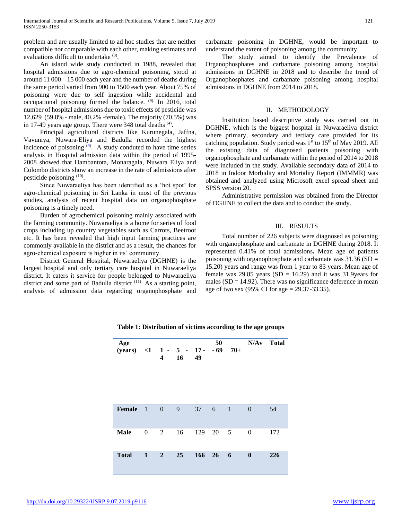problem and are usually limited to ad hoc studies that are neither compatible nor comparable with each other, making estimates and evaluations difficult to undertake (8).

 An island wide study conducted in 1988, revealed that hospital admissions due to agro-chemical poisoning, stood at around 11 000 – 15 000 each year and the number of deaths during the same period varied from 900 to 1500 each year. About 75% of poisoning were due to self ingestion while accidental and occupational poisoning formed the balance. (9). In 2016, total number of hospital admissions due to toxic effects of pesticide was 12,629 (59.8% - male, 40.2% -female). The majority (70.5%) was in 17-49 years age group. There were 348 total deaths  $(4)$ .

 Principal agricultural districts like Kurunegala, Jaffna, Vavuniya, Nuwara-Eliya and Badulla recorded the highest incidence of poisoning  $(9)$ . A study conduted to have time series analysis in Hospital admission data within the period of 1995- 2008 showed that Hambantota, Monaragala, Nuwara Eliya and Colombo districts show an increase in the rate of admissions after pesticide poisoning <sup>(10)</sup>.

 Since Nuwaraeliya has been identified as a 'hot spot' for agro-chemical poisoning in Sri Lanka in most of the previous studies, analysis of recent hospital data on organophosphate poisoning is a timely need.

 Burden of agrochemical poisoning mainly associated with the farming community. Nuwaraeliya is a home for series of food crops including up country vegetables such as Carrots, Beetroot etc. It has been revealed that high input farming practices are commonly available in the district and as a result, the chances for agro-chemical exposure is higher in its' community.

 District General Hospital, Nuwaraeliya (DGHNE) is the largest hospital and only tertiary care hospital in Nuwaraeliya district. It caters it service for people belonged to Nuwaraeliya district and some part of Badulla district <sup>(11)</sup>. As a starting point, analysis of admission data regarding organophosphate and carbamate poisoning in DGHNE, would be important to understand the extent of poisoning among the community.

 The study aimed to identify the Prevalence of Organophosphates and carbamate poisoning among hospital admissions in DGHNE in 2018 and to describe the trend of Organophosphates and carbamate poisoning among hospital admissions in DGHNE from 2014 to 2018.

#### II. METHODOLOGY

 Institution based descriptive study was carried out in DGHNE, which is the biggest hospital in Nuwaraeliya district where primary, secondary and tertiary care provided for its catching population. Study period was  $1<sup>st</sup>$  to  $15<sup>th</sup>$  of May 2019. All the existing data of diagnosed patients poisoning with organophosphate and carbamate within the period of 2014 to 2018 were included in the study. Available secondary data of 2014 to 2018 in Indoor Morbidity and Mortality Report (IMMMR) was obtained and analyzed using Microsoft excel spread sheet and SPSS version 20.

 Administrative permission was obtained from the Director of DGHNE to collect the data and to conduct the study.

#### III. RESULTS

 Total number of 226 subjects were diagnosed as poisoning with organophosphate and carbamate in DGHNE during 2018. It represented 0.41% of total admissions**.** Mean age of patients poisoning with organophosphate and carbamate was  $31.36$  (SD = 15.20) years and range was from 1 year to 83 years. Mean age of female was 29.85 years  $(SD = 16.29)$  and it was 31.9years for males  $(SD = 14.92)$ . There was no significance deference in mean age of two sex (95% CI for age = 29.37-33.35).

**N/Av Total**

**Table 1: Distribution of victims according to the age groups**

| Age<br>(years) <1 1 - 5 - 17 - -69 70+ |                  | 4              | 16 | 49  | 50     |                |                  | N/Av Total |
|----------------------------------------|------------------|----------------|----|-----|--------|----------------|------------------|------------|
| Female                                 | $\blacksquare$   | $\overline{0}$ | 9  | 37  | 6      | $\overline{1}$ | $\theta$         | 54         |
| <b>Male</b>                            | $\boldsymbol{0}$ | 2              | 16 | 129 | 20     | - 5            | $\theta$         | 172        |
| <b>Total</b>                           | $\mathbf{1}$     | $\overline{2}$ | 25 |     | 166 26 | - 6            | $\boldsymbol{0}$ | 226        |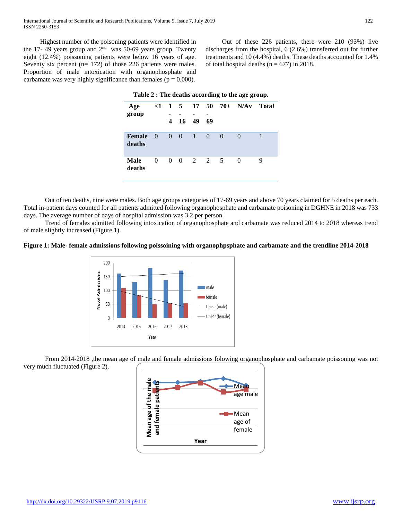Highest number of the poisoning patients were identified in the 17-49 years group and  $2<sup>nd</sup>$  was 50-69 years group. Twenty eight (12.4%) poissoning patients were below 16 years of age. Seventy six percent (n= 172) of those 226 patients were males. Proportion of male intoxication with organophosphate and carbamate was very highly significance than females ( $p = 0.000$ ).

 Out of these 226 patients, there were 210 (93%) live discharges from the hospital, 6 (2.6%) transferred out for further treatments and 10 (4.4%) deaths. These deaths accounted for 1.4% of total hospital deaths ( $n = 677$ ) in 2018.

| Age                   | $\leq 1$                |   |                         |     |                |          | $1\ 5\ 17\ 50\ 70 + N/Av$ | <b>Total</b> |
|-----------------------|-------------------------|---|-------------------------|-----|----------------|----------|---------------------------|--------------|
| group                 |                         |   |                         |     |                |          |                           |              |
|                       |                         | 4 | 16                      | -49 | 69             |          |                           |              |
| Female<br>deaths      | $\overline{\mathbf{0}}$ |   | $0\quad 0$              | -1  | $\overline{0}$ | $\Omega$ | $\Omega$                  | 1            |
| <b>Male</b><br>deaths | $\Omega$                |   | $0 \t 0 \t 2 \t 2 \t 5$ |     |                |          | 0                         | 9            |

 Out of ten deaths, nine were males. Both age groups categories of 17-69 years and above 70 years claimed for 5 deaths per each. Total in-patient days counted for all patients admitted following organophosphate and carbamate poisoning in DGHNE in 2018 was 733 days. The average number of days of hospital admission was 3.2 per person.

 Trend of females admitted following intoxication of organophosphate and carbamate was reduced 2014 to 2018 whereas trend of male slightly increased (Figure 1).

#### **Figure 1: Male- female admissions following poissoining with organophpsphate and carbamate and the trendline 2014-2018**



From 2014-2018, the mean age of male and female admissions folowing organophosphate and carbamate poissoning was not very much fluctuated (Figure 2).

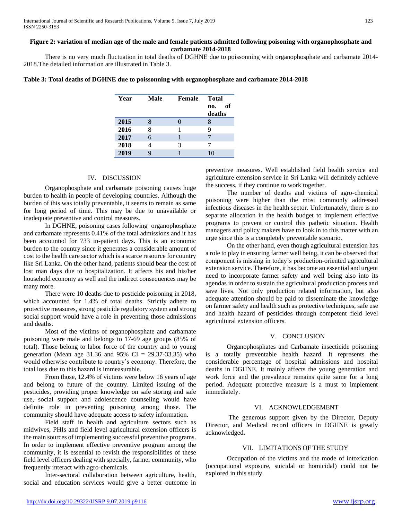#### **Figure 2: variation of median age of the male and female patients admitted following poisoning with organophosphate and carbamate 2014-2018**

 There is no very much fluctuation in total deaths of DGHNE due to poissonning with organophosphate and carbamate 2014- 2018.The detailed information are illustrated in Table 3.

|  | Table 3: Total deaths of DGHNE due to poissonning with organophosphate and carbamate 2014-2018 |  |  |  |
|--|------------------------------------------------------------------------------------------------|--|--|--|
|  |                                                                                                |  |  |  |

| Year | Male | Female | <b>Total</b>        |  |
|------|------|--------|---------------------|--|
|      |      |        | of<br>no.<br>deaths |  |
| 2015 | 8    |        | 8                   |  |
| 2016 | 8    |        | 9                   |  |
| 2017 | 6    |        |                     |  |
| 2018 |      | 3      |                     |  |
| 2019 |      |        | 10                  |  |

#### IV. DISCUSSION

 Organophosphate and carbamate poisoning causes huge burden to health in people of developing countries. Although the burden of this was totally preventable, it seems to remain as same for long period of time. This may be due to unavailable or inadequate preventive and control measures.

 In DGHNE, poisoning cases following organophosphate and carbamate represents 0.41% of the total admissions and it has been accounted for 733 in-patient days. This is an economic burden to the country since it generates a considerable amount of cost to the health care sector which is a scarce resource for country like Sri Lanka. On the other hand, patients should bear the cost of lost man days due to hospitalization. It affects his and his/her household economy as well and the indirect consequences may be many more.

 There were 10 deaths due to pesticide poisoning in 2018, which accounted for 1.4% of total deaths. Strictly adhere to protective measures, strong pesticide regulatory system and strong social support would have a role in preventing those admissions and deaths.

 Most of the victims of organophosphate and carbamate poisoning were male and belongs to 17-69 age groups (85% of total). Those belong to labor force of the country and to young generation (Mean age 31.36 and 95% CI =  $29.37-33.35$ ) who would otherwise contribute to country's economy. Therefore, the total loss due to this hazard is immeasurable.

 From those, 12.4% of victims were below 16 years of age and belong to future of the country. Limited issuing of the pesticides, providing proper knowledge on safe storing and safe use, social support and adolescence counseling would have definite role in preventing poisoning among those. The community should have adequate access to safety information.

 Field staff in health and agriculture sectors such as midwives, PHIs and field level agricultural extension officers is the main sources of implementing successful preventive programs. In order to implement effective preventive program among the community, it is essential to revisit the responsibilities of these field level officers dealing with specially, farmer community, who frequently interact with agro-chemicals.

 Inter-sectoral collaboration between agriculture, health, social and education services would give a better outcome in preventive measures. Well established field health service and agriculture extension service in Sri Lanka will definitely achieve the success, if they continue to work together.

 The number of deaths and victims of agro-chemical poisoning were higher than the most commonly addressed infectious diseases in the health sector. Unfortunately, there is no separate allocation in the health budget to implement effective programs to prevent or control this pathetic situation. Health managers and policy makers have to look in to this matter with an urge since this is a completely preventable scenario.

 On the other hand, even though agricultural extension has a role to play in ensuring farmer well being, it can be observed that component is missing in today's production-oriented agricultural extension service. Therefore, it has become an essential and urgent need to incorporate farmer safety and well being also into its agendas in order to sustain the agricultural production process and save lives. Not only production related information, but also adequate attention should be paid to disseminate the knowledge on farmer safety and health such as protective techniques, safe use and health hazard of pesticides through competent field level agricultural extension officers.

## V. CONCLUSION

 Organophosphates and Carbamate insecticide poisoning is a totally preventable health hazard. It represents the considerable percentage of hospital admissions and hospital deaths in DGHNE. It mainly affects the young generation and work force and the prevalence remains quite same for a long period. Adequate protective measure is a must to implement immediately.

#### VI. ACKNOWLEDGEMENT

 The generous support given by the Director, Deputy Director, and Medical record officers in DGHNE is greatly acknowledged**.** 

### VII. LIMITATIONS OF THE STUDY

 Occupation of the victims and the mode of intoxication (occupational exposure, suicidal or homicidal) could not be explored in this study.